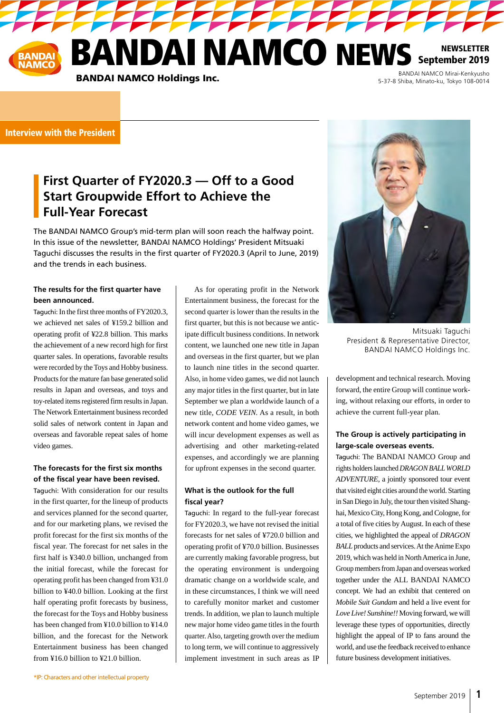NEWSLETTER September 2019

**PERSONAL PROPERTY** 

BANDAI NAMCO Holdings Inc.

BANDAI NAMCO Mirai-Kenkyusho 5-37-8 Shiba, Minato-ku, Tokyo 108-0014

# Interview with the President

# **First Quarter of FY2020.3 — Off to a Good Start Groupwide Effort to Achieve the Full-Year Forecast**

The BANDAI NAMCO Group's mid-term plan will soon reach the halfway point. In this issue of the newsletter, BANDAI NAMCO Holdings' President Mitsuaki Taguchi discusses the results in the first quarter of FY2020.3 (April to June, 2019) and the trends in each business.

# **The results for the first quarter have been announced.**

Taguchi: In the first three months of FY2020.3, we achieved net sales of ¥159.2 billion and operating profit of ¥22.8 billion. This marks the achievement of a new record high for first quarter sales. In operations, favorable results were recorded by the Toys and Hobby business. Products for the mature fan base generated solid results in Japan and overseas, and toys and toy-related items registered firm results in Japan. The Network Entertainment business recorded solid sales of network content in Japan and overseas and favorable repeat sales of home video games.

## **The forecasts for the first six months of the fiscal year have been revised.**

Taguchi: With consideration for our results in the first quarter, for the lineup of products and services planned for the second quarter, and for our marketing plans, we revised the profit forecast for the first six months of the fiscal year. The forecast for net sales in the first half is ¥340.0 billion, unchanged from the initial forecast, while the forecast for operating profit has been changed from ¥31.0 billion to ¥40.0 billion. Looking at the first half operating profit forecasts by business, the forecast for the Toys and Hobby business has been changed from ¥10.0 billion to ¥14.0 billion, and the forecast for the Network Entertainment business has been changed from ¥16.0 billion to ¥21.0 billion.

As for operating profit in the Network Entertainment business, the forecast for the second quarter is lower than the results in the first quarter, but this is not because we anticipate difficult business conditions. In network content, we launched one new title in Japan and overseas in the first quarter, but we plan to launch nine titles in the second quarter. Also, in home video games, we did not launch any major titles in the first quarter, but in late September we plan a worldwide launch of a new title, *CODE VEIN.* As a result, in both network content and home video games, we will incur development expenses as well as advertising and other marketing-related expenses, and accordingly we are planning for upfront expenses in the second quarter.

# **What is the outlook for the full fiscal year?**

Taguchi: In regard to the full-year forecast for FY2020.3, we have not revised the initial forecasts for net sales of ¥720.0 billion and operating profit of ¥70.0 billion. Businesses are currently making favorable progress, but the operating environment is undergoing dramatic change on a worldwide scale, and in these circumstances, I think we will need to carefully monitor market and customer trends. In addition, we plan to launch multiple new major home video game titles in the fourth quarter. Also, targeting growth over the medium to long term, we will continue to aggressively implement investment in such areas as IP



Mitsuaki Taguchi President & Representative Director, BANDAI NAMCO Holdings Inc.

development and technical research. Moving forward, the entire Group will continue working, without relaxing our efforts, in order to achieve the current full-year plan.

# **The Group is actively participating in large-scale overseas events.**

Taguchi: The BANDAI NAMCO Group and rights holders launched *DRAGON BALL WORLD ADVENTURE*, a jointly sponsored tour event that visited eight cities around the world. Starting in San Diego in July, the tour then visited Shanghai, Mexico City, Hong Kong, and Cologne, for a total of five cities by August. In each of these cities, we highlighted the appeal of *DRAGON BALL* products and services. At the Anime Expo 2019, which was held in North America in June, Group members from Japan and overseas worked together under the ALL BANDAI NAMCO concept. We had an exhibit that centered on *Mobile Suit Gundam* and held a live event for *Love Live! Sunshine!!* Moving forward, we will leverage these types of opportunities, directly highlight the appeal of IP to fans around the world, and use the feedback received to enhance future business development initiatives.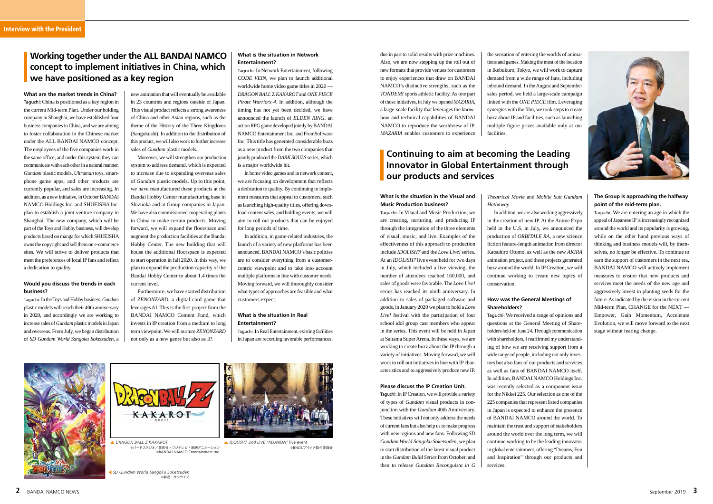*DRAGON BALL Z KAKAROT inclusion inclusion and DRAGON BALL Z KAKAROT* ©バードスタジオ/集英社・フジテレビ・東映アニメーション ©BANDAI NAMCO Entertainment Inc.



©BNOI/アイナナ製作委員会

due in part to solid results with prize machines.

Also, we are now stepping up the roll out of new formats that provide venues for customers to enjoy experiences that draw on BANDAI NAMCO's distinctive strengths, such as the *TONDEMI* sports athletic facility. As one part of those initiatives, in July we opened *MAZARIA*, a large-scale facility that leverages the knowhow and technical capabilities of BANDAI NAMCO to reproduce the worldview of IP. *MAZARIA* enables customers to experience

# **Continuing to aim at becoming the Leading Innovator in Global Entertainment through our products and services**

the sensation of entering the worlds of animations and games. Making the most of the location in Ikebukuro, Tokyo, we will work to capture demand from a wide range of fans, including inbound demand. In the August and September sales period, we held a large-scale campaign linked with the *ONE PIECE* film. Leveraging synergies with the film, we took steps to create buzz about IP and facilities, such as launching multiple figure prizes available only at our facilities.

# **What is the situation in Network Entertainment?**

Taguchi: In Network Entertainment, following *CODE VEIN*, we plan to launch additional worldwide home video game titles in 2020 — *DRAGON BALL* Z *KAKAROT* and *ONE PIECE Pirate Warriors 4*. In addition, although the timing has not yet been decided, we have announced the launch of *ELDEN RING*, an action RPG game developed jointly by BANDAI NAMCO Entertainment Inc. and FromSoftware Inc. This title has generated considerable buzz as a new product from the two companies that jointly produced the *DARK SOULS* series, which is a major worldwide hit.

In home video games and in network content, we are focusing on development that reflects a dedication to quality. By continuing to implement measures that appeal to customers, such as launching high-quality titles, offering download content sales, and holding events, we will aim to roll out products that can be enjoyed for long periods of time.

In addition, in game-related industries, the launch of a variety of new platforms has been announced. BANDAI NAMCO's basic policies are to consider everything from a customercentric viewpoint and to take into account multiple platforms in line with customer needs. Moving forward, we will thoroughly consider what types of approaches are feasible and what customers expect.

# **What is the situation in Real Entertainment?**

Taguchi: In Real Entertainment, existing facilities in Japan are recording favorable performances,





**What are the market trends in China?** Taguchi: China is positioned as a key region in the current Mid-term Plan. Under our holding company in Shanghai, we have established four business companies in China, and we are aiming to foster collaboration in the Chinese market under the ALL BANDAI NAMCO concept. The employees of the five companies work in the same office, and under this system they can communicate with each other in a natural manner. *Gundam* plastic models, *Ultraman* toys, smartphone game apps, and other products are currently popular, and sales are increasing. In addition, as a new initiative, in October BANDAI NAMCO Holdings Inc. and SHUEISHA Inc. plan to establish a joint venture company in Shanghai. The new company, which will be part of the Toys and Hobby business, will develop products based on manga for which SHUEISHA owns the copyright and sell them on e-commerce sites. We will strive to deliver products that meet the preferences of local IP fans and reflect a dedication to quality.

#### **Would you discuss the trends in each business?**

Taguchi: In the Toys and Hobby business, *Gundam* plastic models will reach their 40th anniversary in 2020, and accordingly we are working to increase sales of *Gundam* plastic models in Japan and overseas. From July, we began distribution of *SD Gundam World Sangoku Soketsuden*, a new animation that will eventually be available in 23 countries and regions outside of Japan. This visual product reflects a strong awareness of China and other Asian regions, such as the theme of the History of the Three Kingdoms (Sangokushi). In addition to the distribution of this product, we will also work to further increase sales of *Gundam* plastic models.

*SD Gundam World Sangoku Soketsuden* ©創通・サンライズ

Moreover, we will strengthen our production system to address demand, which is expected to increase due to expanding overseas sales of *Gundam* plastic models. Up to this point, we have manufactured these products at the Bandai Hobby Center manufacturing base in Shizuoka and at Group companies in Japan. We have also commissioned cooperating plants in China to make certain products. Moving forward, we will expand the floorspace and augment the production facilities at the Bandai Hobby Center. The new building that will house the additional floorspace is expected to start operation in fall 2020. In this way, we plan to expand the production capacity of the Bandai Hobby Center to about 1.4 times the current level.

Furthermore, we have started distribution of *ZENONZARD*, a digital card game that leverages AI. This is the first project from the BANDAI NAMCO Content Fund, which invests in IP creation from a medium to long term viewpoint. We will nurture *ZENONZARD* not only as a new genre but also as IP.

# **Working together under the ALL BANDAI NAMCO concept to implement initiatives in China, which we have positioned as a key region**

#### **What is the situation in the Visual and Music Production business?**

Taguchi: In Visual and Music Production, we are creating, nurturing, and producing IP through the integration of the three elements of visual, music, and live. Examples of the effectiveness of this approach to production include *IDOLiSH7* and the *Love Live!* series. At an *IDOLiSH7* live event held for two days in July, which included a live viewing, the number of attendees reached 160,000, and sales of goods were favorable. The *Love Live!*  series has reached its ninth anniversary. In addition to sales of packaged software and goods, in January 2020 we plan to hold a *Love Live!* festival with the participation of four school idol group cast members who appear in the series. This event will be held in Japan at Saitama Super Arena. In these ways, we are working to create buzz about the IP through a variety of initiatives. Moving forward, we will work to roll out initiatives in line with IP characteristics and to aggressively produce new IP.

#### **Please discuss the IP Creation Unit.**

Taguchi: In IP Creation, we will provide a variety of types of *Gundam* visual products in conjunction with the *Gundam* 40th Anniversary. These initiatives will not only address the needs of current fans but also help us to make progress with new regions and new fans. Following *SD Gundam World Sangoku Soketsuden*, we plan to start distribution of the latest visual product in the *Gundam Build Series* from October, and then to release *Gundam Reconguista in G*

#### *Theatrical Movie* and *Mobile Suit Gundam*



*Hathaway*.

In addition, we are also working aggressively in the creation of new IP. At the Anime Expo held in the U.S. in July, we announced the production of *ORBITALE RA,* a new science fiction feature-length animation from director Katsuhiro Otomo, as well as the new *AKIRA*  animation project, and these projects generated buzz around the world. In IP Creation, we will continue working to create new topics of conservation.

#### **How was the General Meetings of Shareholders?**

Taguchi: We received a range of opinions and questions at the General Meeting of Shareholders held on June 24. Through communication with shareholders, I reaffirmed my understanding of how we are receiving support from a wide range of people, including not only investors but also fans of our products and services as well as fans of BANDAI NAMCO itself. In addition, BANDAI NAMCO Holdings Inc. was recently selected as a component issue for the Nikkei 225. Our selection as one of the 225 companies that represent listed companies in Japan is expected to enhance the presence of BANDAI NAMCO around the world. To maintain the trust and support of stakeholders around the world over the long term, we will continue working to be the leading innovator in global entertainment, offering "Dreams, Fun and Inspiration" through our products and services.

## **The Group is approaching the halfway point of the mid-term plan.**

Taguchi: We are entering an age in which the appeal of Japanese IP is increasingly recognized around the world and its popularity is growing, while on the other hand previous ways of thinking and business models will, by themselves, no longer be effective. To continue to earn the support of customers in the next era, BANDAI NAMCO will actively implement measures to ensure that new products and services meet the needs of the new age and aggressively invest in planting seeds for the future. As indicated by the vision in the current Mid-term Plan, CHANGE for the NEXT — Empower, Gain Momentum, Accelerate Evolution, we will move forward to the next stage without fearing change.